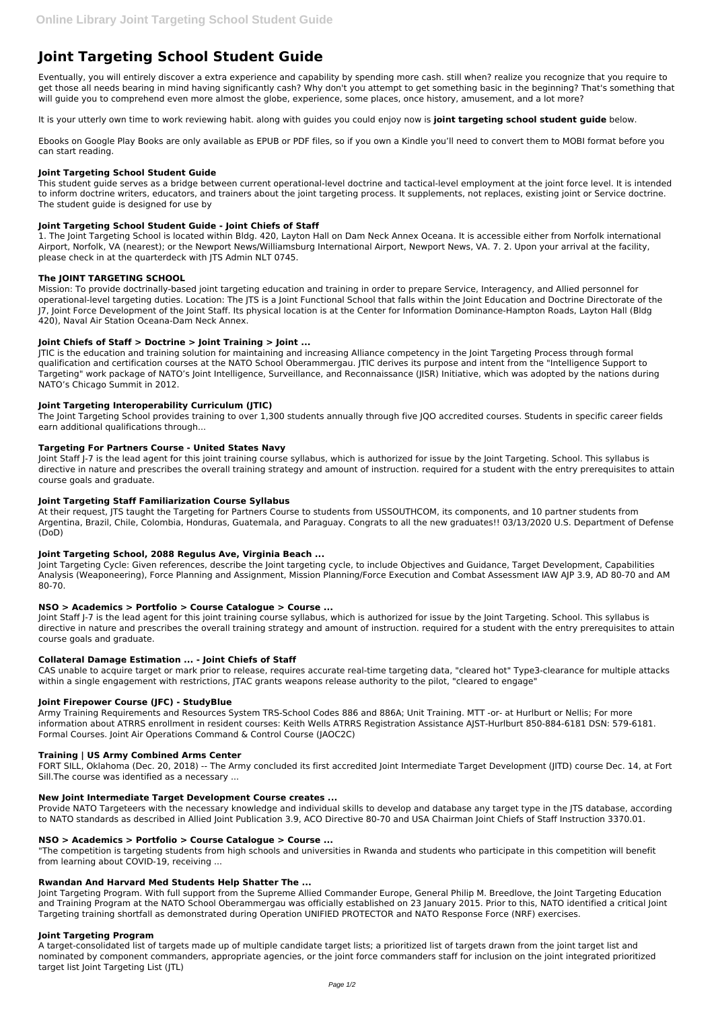# **Joint Targeting School Student Guide**

Eventually, you will entirely discover a extra experience and capability by spending more cash. still when? realize you recognize that you require to get those all needs bearing in mind having significantly cash? Why don't you attempt to get something basic in the beginning? That's something that will guide you to comprehend even more almost the globe, experience, some places, once history, amusement, and a lot more?

It is your utterly own time to work reviewing habit. along with guides you could enjoy now is **joint targeting school student guide** below.

Ebooks on Google Play Books are only available as EPUB or PDF files, so if you own a Kindle you'll need to convert them to MOBI format before you can start reading.

# **Joint Targeting School Student Guide**

This student guide serves as a bridge between current operational-level doctrine and tactical-level employment at the joint force level. It is intended to inform doctrine writers, educators, and trainers about the joint targeting process. It supplements, not replaces, existing joint or Service doctrine. The student guide is designed for use by

# **Joint Targeting School Student Guide - Joint Chiefs of Staff**

1. The Joint Targeting School is located within Bldg. 420, Layton Hall on Dam Neck Annex Oceana. It is accessible either from Norfolk international Airport, Norfolk, VA (nearest); or the Newport News/Williamsburg International Airport, Newport News, VA. 7. 2. Upon your arrival at the facility, please check in at the quarterdeck with JTS Admin NLT 0745.

# **The JOINT TARGETING SCHOOL**

Mission: To provide doctrinally-based joint targeting education and training in order to prepare Service, Interagency, and Allied personnel for operational-level targeting duties. Location: The JTS is a Joint Functional School that falls within the Joint Education and Doctrine Directorate of the J7, Joint Force Development of the Joint Staff. Its physical location is at the Center for Information Dominance-Hampton Roads, Layton Hall (Bldg 420), Naval Air Station Oceana-Dam Neck Annex.

# **Joint Chiefs of Staff > Doctrine > Joint Training > Joint ...**

Joint Staff J-7 is the lead agent for this joint training course syllabus, which is authorized for issue by the Joint Targeting. School. This syllabus is directive in nature and prescribes the overall training strategy and amount of instruction. required for a student with the entry prerequisites to attain course goals and graduate.

JTIC is the education and training solution for maintaining and increasing Alliance competency in the Joint Targeting Process through formal qualification and certification courses at the NATO School Oberammergau. JTIC derives its purpose and intent from the "Intelligence Support to Targeting" work package of NATO's Joint Intelligence, Surveillance, and Reconnaissance (JISR) Initiative, which was adopted by the nations during NATO's Chicago Summit in 2012.

#### **Joint Targeting Interoperability Curriculum (JTIC)**

The Joint Targeting School provides training to over 1,300 students annually through five JQO accredited courses. Students in specific career fields earn additional qualifications through...

#### **Targeting For Partners Course - United States Navy**

Joint Staff J-7 is the lead agent for this joint training course syllabus, which is authorized for issue by the Joint Targeting. School. This syllabus is directive in nature and prescribes the overall training strategy and amount of instruction. required for a student with the entry prerequisites to attain course goals and graduate.

# **Joint Targeting Staff Familiarization Course Syllabus**

At their request, JTS taught the Targeting for Partners Course to students from USSOUTHCOM, its components, and 10 partner students from Argentina, Brazil, Chile, Colombia, Honduras, Guatemala, and Paraguay. Congrats to all the new graduates!! 03/13/2020 U.S. Department of Defense (DoD)

# **Joint Targeting School, 2088 Regulus Ave, Virginia Beach ...**

Joint Targeting Cycle: Given references, describe the Joint targeting cycle, to include Objectives and Guidance, Target Development, Capabilities Analysis (Weaponeering), Force Planning and Assignment, Mission Planning/Force Execution and Combat Assessment IAW AJP 3.9, AD 80-70 and AM 80-70.

#### **NSO > Academics > Portfolio > Course Catalogue > Course ...**

#### **Collateral Damage Estimation ... - Joint Chiefs of Staff**

CAS unable to acquire target or mark prior to release, requires accurate real-time targeting data, "cleared hot" Type3-clearance for multiple attacks within a single engagement with restrictions, JTAC grants weapons release authority to the pilot, "cleared to engage"

#### **Joint Firepower Course (JFC) - StudyBlue**

Army Training Requirements and Resources System TRS-School Codes 886 and 886A; Unit Training. MTT -or- at Hurlburt or Nellis; For more information about ATRRS enrollment in resident courses: Keith Wells ATRRS Registration Assistance AJST-Hurlburt 850-884-6181 DSN: 579-6181. Formal Courses. Joint Air Operations Command & Control Course (JAOC2C)

#### **Training | US Army Combined Arms Center**

FORT SILL, Oklahoma (Dec. 20, 2018) -- The Army concluded its first accredited Joint Intermediate Target Development (JITD) course Dec. 14, at Fort Sill.The course was identified as a necessary ...

#### **New Joint Intermediate Target Development Course creates ...**

Provide NATO Targeteers with the necessary knowledge and individual skills to develop and database any target type in the JTS database, according to NATO standards as described in Allied Joint Publication 3.9, ACO Directive 80-70 and USA Chairman Joint Chiefs of Staff Instruction 3370.01.

#### **NSO > Academics > Portfolio > Course Catalogue > Course ...**

"The competition is targeting students from high schools and universities in Rwanda and students who participate in this competition will benefit from learning about COVID-19, receiving ...

#### **Rwandan And Harvard Med Students Help Shatter The ...**

Joint Targeting Program. With full support from the Supreme Allied Commander Europe, General Philip M. Breedlove, the Joint Targeting Education and Training Program at the NATO School Oberammergau was officially established on 23 January 2015. Prior to this, NATO identified a critical Joint Targeting training shortfall as demonstrated during Operation UNIFIED PROTECTOR and NATO Response Force (NRF) exercises.

#### **Joint Targeting Program**

A target-consolidated list of targets made up of multiple candidate target lists; a prioritized list of targets drawn from the joint target list and nominated by component commanders, appropriate agencies, or the joint force commanders staff for inclusion on the joint integrated prioritized target list Joint Targeting List (JTL)